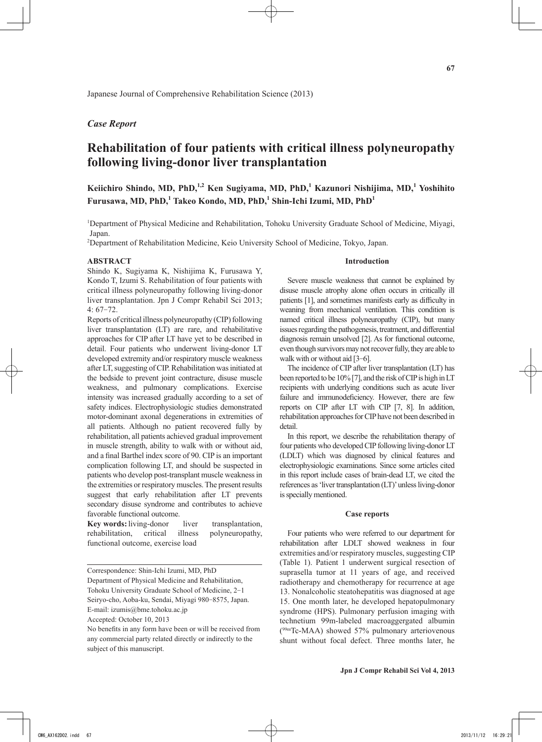## *Case Report*

# **Rehabilitation of four patients with critical illness polyneuropathy following living-donor liver transplantation**

**Keiichiro Shindo, MD, PhD,1,2 Ken Sugiyama, MD, PhD,1 Kazunori Nishijima, MD,<sup>1</sup> Yoshihito Furusawa, MD, PhD,<sup>1</sup> Takeo Kondo, MD, PhD,<sup>1</sup> Shin-Ichi Izumi, MD, PhD<sup>1</sup>**

<sup>1</sup>Department of Physical Medicine and Rehabilitation, Tohoku University Graduate School of Medicine, Miyagi, Japan.

2 Department of Rehabilitation Medicine, Keio University School of Medicine, Tokyo, Japan.

#### **ABSTRACT**

Shindo K, Sugiyama K, Nishijima K, Furusawa Y, Kondo T, Izumi S. Rehabilitation of four patients with critical illness polyneuropathy following living-donor liver transplantation. Jpn J Compr Rehabil Sci 2013; 4: 67-72.

Reports of critical illness polyneuropathy (CIP) following liver transplantation (LT) are rare, and rehabilitative approaches for CIP after LT have yet to be described in detail. Four patients who underwent living-donor LT developed extremity and/or respiratory muscle weakness after LT, suggesting of CIP. Rehabilitation was initiated at the bedside to prevent joint contracture, disuse muscle weakness, and pulmonary complications. Exercise intensity was increased gradually according to a set of safety indices. Electrophysiologic studies demonstrated motor-dominant axonal degenerations in extremities of all patients. Although no patient recovered fully by rehabilitation, all patients achieved gradual improvement in muscle strength, ability to walk with or without aid, and a final Barthel index score of 90. CIP is an important complication following LT, and should be suspected in patients who develop post-transplant muscle weakness in the extremities or respiratory muscles. The present results suggest that early rehabilitation after LT prevents secondary disuse syndrome and contributes to achieve favorable functional outcome.

| <b>Key words:</b> living-donor    | liver | transplantation, |
|-----------------------------------|-------|------------------|
| rehabilitation, critical illness  |       | polyneuropathy,  |
| functional outcome, exercise load |       |                  |

Correspondence: Shin-Ichi Izumi, MD, PhD Department of Physical Medicine and Rehabilitation, Tohoku University Graduate School of Medicine, 2-1 Seiryo-cho, Aoba-ku, Sendai, Miyagi 980-8575, Japan. E-mail: izumis@bme.tohoku.ac.jp

Accepted: October 10, 2013

#### **Introduction**

Severe muscle weakness that cannot be explained by disuse muscle atrophy alone often occurs in critically ill patients [1], and sometimes manifests early as difficulty in weaning from mechanical ventilation. This condition is named critical illness polyneuropathy (CIP), but many issues regarding the pathogenesis, treatment, and differential diagnosis remain unsolved [2]. As for functional outcome, even though survivors may not recover fully, they are able to walk with or without aid [3-6].

The incidence of CIP after liver transplantation (LT) has been reported to be 10% [7], and the risk of CIP is high in LT recipients with underlying conditions such as acute liver failure and immunodeficiency. However, there are few reports on CIP after LT with CIP [7, 8]. In addition, rehabilitation approaches for CIP have not been described in detail.

In this report, we describe the rehabilitation therapy of four patients who developed CIP following living-donor LT (LDLT) which was diagnosed by clinical features and electrophysiologic examinations. Since some articles cited in this report include cases of brain-dead LT, we cited the references as 'liver transplantation (LT)' unless living-donor is specially mentioned.

### **Case reports**

Four patients who were referred to our department for rehabilitation after LDLT showed weakness in four extremities and/or respiratory muscles, suggesting CIP (Table 1). Patient 1 underwent surgical resection of suprasella tumor at 11 years of age, and received radiotherapy and chemotherapy for recurrence at age 13. Nonalcoholic steatohepatitis was diagnosed at age 15. One month later, he developed hepatopulmonary syndrome (HPS). Pulmonary perfusion imaging with technetium 99m-labeled macroaggergated albumin ( 99mTc-MAA) showed 57% pulmonary arteriovenous shunt without focal defect. Three months later, he

No benefits in any form have been or will be received from any commercial party related directly or indirectly to the subject of this manuscript.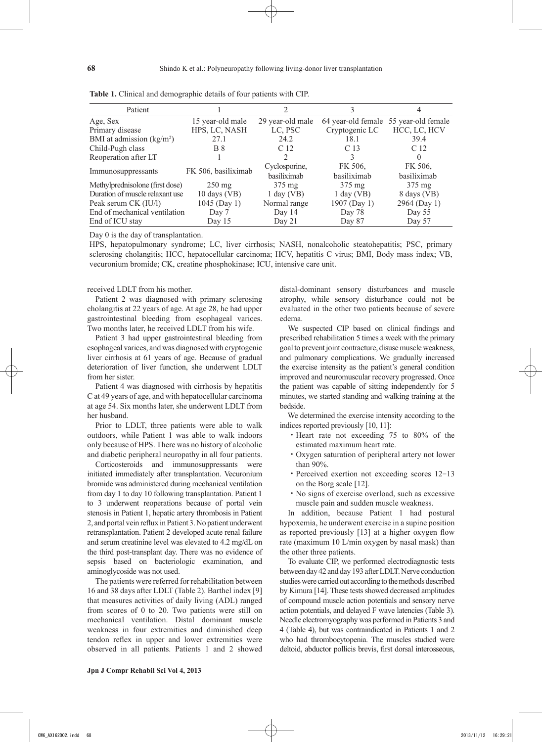| Patient                         |                        |                  |                  | 4                                     |
|---------------------------------|------------------------|------------------|------------------|---------------------------------------|
| Age, Sex                        | 15 year-old male       | 29 year-old male |                  | 64 year-old female 55 year-old female |
| Primary disease                 | HPS, LC, NASH          | LC, PSC          | Cryptogenic LC   | HCC, LC, HCV                          |
| BMI at admission $(kg/m2)$      | 27.1                   | 24.2             | 18.1             | 39.4                                  |
| Child-Pugh class                | <b>B</b> 8             | C <sub>12</sub>  | C <sub>13</sub>  | C 12                                  |
| Reoperation after LT            |                        |                  |                  |                                       |
|                                 | FK 506, basiliximab    | Cyclosporine,    | FK 506,          | FK 506,                               |
| Immunosuppressants              |                        | basiliximab      | basiliximab      | basiliximab                           |
| Methylprednisolone (first dose) | $250 \text{ mg}$       | $375 \text{ mg}$ | $375 \text{ mg}$ | $375 \text{ mg}$                      |
| Duration of muscle relaxant use | $10 \text{ days}$ (VB) | $1$ day (VB)     | $1$ day (VB)     | 8 days (VB)                           |
| Peak serum CK (IU/l)            | 1045 (Day 1)           | Normal range     | 1907 (Day 1)     | 2964 (Day 1)                          |
| End of mechanical ventilation   | Day 7                  | Day 14           | Day 78           | Day 55                                |
| End of ICU stay                 | Day $15$               | Day $21$         | Day 87           | Day 57                                |

**Table 1.** Clinical and demographic details of four patients with CIP.

Day 0 is the day of transplantation.

HPS, hepatopulmonary syndrome; LC, liver cirrhosis; NASH, nonalcoholic steatohepatitis; PSC, primary sclerosing cholangitis; HCC, hepatocellular carcinoma; HCV, hepatitis C virus; BMI, Body mass index; VB, vecuronium bromide; CK, creatine phosphokinase; ICU, intensive care unit.

#### received LDLT from his mother.

Patient 2 was diagnosed with primary sclerosing cholangitis at 22 years of age. At age 28, he had upper gastrointestinal bleeding from esophageal varices. Two months later, he received LDLT from his wife.

Patient 3 had upper gastrointestinal bleeding from esophageal varices, and was diagnosed with cryptogenic liver cirrhosis at 61 years of age. Because of gradual deterioration of liver function, she underwent LDLT from her sister.

Patient 4 was diagnosed with cirrhosis by hepatitis C at 49 years of age, and with hepatocellular carcinoma at age 54. Six months later, she underwent LDLT from her husband.

Prior to LDLT, three patients were able to walk outdoors, while Patient 1 was able to walk indoors only because of HPS. There was no history of alcoholic and diabetic peripheral neuropathy in all four patients.

Corticosteroids and immunosuppressants were initiated immediately after transplantation. Vecuronium bromide was administered during mechanical ventilation from day 1 to day 10 following transplantation. Patient 1 to 3 underwent reoperations because of portal vein stenosis in Patient 1, hepatic artery thrombosis in Patient 2, and portal vein reflux in Patient 3. No patient underwent retransplantation. Patient 2 developed acute renal failure and serum creatinine level was elevated to 4.2 mg/dL on the third post-transplant day. There was no evidence of sepsis based on bacteriologic examination, and aminoglycoside was not used.

The patients were referred for rehabilitation between 16 and 38 days after LDLT (Table 2). Barthel index [9] that measures activities of daily living (ADL) ranged from scores of 0 to 20. Two patients were still on mechanical ventilation. Distal dominant muscle weakness in four extremities and diminished deep tendon reflex in upper and lower extremities were observed in all patients. Patients 1 and 2 showed distal-dominant sensory disturbances and muscle atrophy, while sensory disturbance could not be evaluated in the other two patients because of severe edema.

We suspected CIP based on clinical findings and prescribed rehabilitation 5 times a week with the primary goal to prevent joint contracture, disuse muscle weakness, and pulmonary complications. We gradually increased the exercise intensity as the patient's general condition improved and neuromuscular recovery progressed. Once the patient was capable of sitting independently for 5 minutes, we started standing and walking training at the bedside.

We determined the exercise intensity according to the indices reported previously [10, 11]:

- ・Heart rate not exceeding 75 to 80% of the estimated maximum heart rate.
- ・Oxygen saturation of peripheral artery not lower than 90%.
- ・Perceived exertion not exceeding scores 12-13 on the Borg scale [12].
- ・No signs of exercise overload, such as excessive muscle pain and sudden muscle weakness.

In addition, because Patient 1 had postural hypoxemia, he underwent exercise in a supine position as reported previously [13] at a higher oxygen flow rate (maximum 10 L/min oxygen by nasal mask) than the other three patients.

To evaluate CIP, we performed electrodiagnostic tests between day 42 and day 193 after LDLT. Nerve conduction studies were carried out according to the methods described by Kimura [14]. These tests showed decreased amplitudes of compound muscle action potentials and sensory nerve action potentials, and delayed F wave latencies (Table 3). Needle electromyography was performed in Patients 3 and 4 (Table 4), but was contraindicated in Patients 1 and 2 who had thrombocytopenia. The muscles studied were deltoid, abductor pollicis brevis, first dorsal interosseous,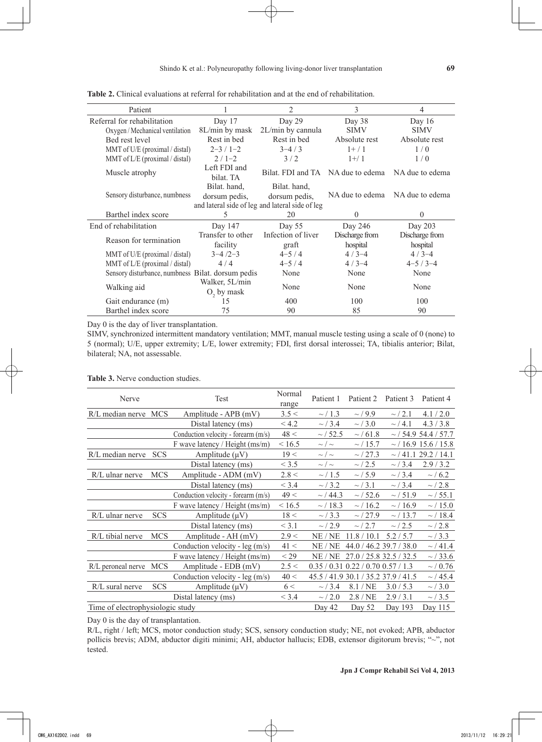| Patient                                           |                                                 | 2                  | 3               | 4               |  |
|---------------------------------------------------|-------------------------------------------------|--------------------|-----------------|-----------------|--|
| Referral for rehabilitation                       | Day 17                                          | Day 29             | Day 38          | Day $16$        |  |
| Oxygen / Mechanical ventilation                   | 8L/min by mask                                  | 2L/min by cannula  | <b>SIMV</b>     | <b>SIMV</b>     |  |
| Bed rest level                                    | Rest in bed                                     | Rest in bed        | Absolute rest   | Absolute rest   |  |
| MMT of U/E (proximal / distal)                    | $2 - 3 / 1 - 2$                                 | $3 - 4 / 3$        | $1+/1$          | 1/0             |  |
| MMT of L/E (proximal / distal)                    | $2/1-2$                                         | 3/2                |                 | 1/0             |  |
| Muscle atrophy                                    | Left FDI and<br>bilat. TA                       | Bilat. FDI and TA  | NA due to edema | NA due to edema |  |
|                                                   | Bilat. hand,                                    | Bilat. hand.       |                 | NA due to edema |  |
| Sensory disturbance, numbness                     | dorsum pedis,                                   | dorsum pedis,      | NA due to edema |                 |  |
|                                                   | and lateral side of leg and lateral side of leg |                    |                 |                 |  |
|                                                   |                                                 |                    |                 |                 |  |
| Barthel index score                               | 5                                               | 20                 | $\theta$        | $\theta$        |  |
| End of rehabilitation                             | Day 147                                         | Day 55             | Day 246         | Day 203         |  |
|                                                   | Transfer to other                               | Infection of liver | Discharge from  | Discharge from  |  |
| Reason for termination                            | facility                                        | graft              | hospital        | hospital        |  |
| MMT of U/E (proximal / distal)                    | $3 - 4/2 - 3$                                   | $4 - 5 / 4$        | $4/3-4$         | $4/3-4$         |  |
| MMT of $L/E$ (proximal / distal)                  | 4/4                                             | $4 - 5/4$          | $4/3-4$         | $4 - 5 / 3 - 4$ |  |
| Sensory disturbance, numbness Bilat. dorsum pedis |                                                 | None               | None            | None            |  |
| Walking aid                                       | Walker, 5L/min<br>$O2$ by mask                  | None               | None            | None            |  |
| Gait endurance (m)                                | 15                                              | 400                | 100             | 100             |  |

**Table 2.** Clinical evaluations at referral for rehabilitation and at the end of rehabilitation.

Day 0 is the day of liver transplantation.

SIMV, synchronized intermittent mandatory ventilation; MMT, manual muscle testing using a scale of 0 (none) to 5 (normal); U/E, upper extremity; L/E, lower extremity; FDI, first dorsal interossei; TA, tibialis anterior; Bilat, bilateral; NA, not assessable.

**Table 3.** Nerve conduction studies.

| Nerve                            |            | Test                                | Normal<br>range | Patient 1                          | Patient 2                           | Patient 3                 | Patient 4                 |
|----------------------------------|------------|-------------------------------------|-----------------|------------------------------------|-------------------------------------|---------------------------|---------------------------|
| R/L median nerve                 | <b>MCS</b> | Amplitude - APB (mV)                | 3.5 <           | $\sim$ / 1.3                       | $\sim$ / 9.9                        | $\sim$ / 2.1              | 4.1 / 2.0                 |
|                                  |            | Distal latency (ms)                 | < 4.2           | $\sim$ / 3.4                       | $\sim$ / 3.0                        | $\sim$ / 4.1              | 4.3 / 3.8                 |
|                                  |            | Conduction velocity - forearm (m/s) | 48 <            | $\sim$ / 52.5                      | $\sim$ / 61.8                       |                           | $\sim$ / 54.9 54.4 / 57.7 |
|                                  |            | F wave latency / Height (ms/m)      | < 16.5          | $\sim / \sim$                      | $\sim$ / 15.7                       |                           | $\sim$ / 16.9 15.6 / 15.8 |
| R/L median nerve                 | <b>SCS</b> | Amplitude $(\mu V)$                 | 19 <            | $\sim/ \sim$                       | $\sim$ / 27.3                       |                           | $\sim$ / 41.1 29.2 / 14.1 |
|                                  |            | Distal latency (ms)                 | < 3.5           | $\sim / \sim$                      | $\sim$ / 2.5                        | $\sim$ / 3.4              | 2.9/3.2                   |
| R/L ulnar nerve                  | <b>MCS</b> | Amplitude - ADM (mV)                | 2.8 <           | $\sim$ / 1.5                       | $\sim 15.9$                         | $\sim$ / 3.4              | $\sim$ / 6.2              |
|                                  |            | Distal latency (ms)                 | < 3.4           | $\sim$ / 3.2                       | $\sim$ / 3.1                        | $\sim$ / 3.4              | $\sim$ / 2.8              |
|                                  |            | Conduction velocity - forearm (m/s) | 49 <            | $\sim$ / 44.3                      | $\sim$ / 52.6                       | $\sim$ / 51.9             | $\sim$ / 55.1             |
|                                  |            | F wave latency / Height (ms/m)      | < 16.5          | $\sim$ / 18.3                      | $\sim$ / 16.2                       | $\sim$ / 16.9             | $\sim$ / 15.0             |
| R/L ulnar nerve                  | <b>SCS</b> | Amplitude $(\mu V)$                 | 18 <            | $\sim$ / 3.3                       | $\sim$ / 27.9                       | $\sim$ / 13.7             | $\sim$ / 18.4             |
|                                  |            | Distal latency (ms)                 | < 3.1           | $\sim$ / 2.9                       | $\sim 12.7$                         | $\sim$ / 2.5              | $\sim/$ 2.8               |
| R/L tibial nerve                 | <b>MCS</b> | Amplitude - AH (mV)                 | 2.9 <           | NE / NE                            | 11.8 / 10.1                         | 5.2/5.7                   | $\sim$ / 3.3              |
|                                  |            | Conduction velocity - leg (m/s)     | 41 <            | NE / NE                            |                                     | 44.0 / 46.2 39.7 / 38.0   | $\sim$ / 41.4             |
|                                  |            | F wave latency / Height (ms/m)      | $<$ 29          | NE/NE                              |                                     | $27.0 / 25.8$ 32.5 / 32.5 | $\sim$ / 33.6             |
| R/L peroneal nerve               | <b>MCS</b> | Amplitude - EDB (mV)                | 2.5 <           | 0.35 / 0.31 0.22 / 0.70 0.57 / 1.3 |                                     |                           | $\sim / 0.76$             |
|                                  |            | Conduction velocity - leg (m/s)     | 40 <            |                                    | 45.5 / 41.9 30.1 / 35.2 37.9 / 41.5 |                           | $\sim$ / 45.4             |
| R/L sural nerve                  | <b>SCS</b> | Amplitude $(\mu V)$                 | 6 <             | $\sim$ / 3.4                       | 8.1/NE                              | 3.0 / 5.3                 | $\sim$ / 3.0              |
|                                  |            | Distal latency (ms)                 | < 3.4           | $\sim$ / 2.0                       | 2.8/NE                              | 2.9/3.1                   | $\sim$ / 3.5              |
| Time of electrophysiologic study |            |                                     |                 | Day 42                             | Day 52                              | Day 193                   | Day 115                   |

Day 0 is the day of transplantation.

R/L, right / left; MCS, motor conduction study; SCS, sensory conduction study; NE, not evoked; APB, abductor pollicis brevis; ADM, abductor digiti minimi; AH, abductor hallucis; EDB, extensor digitorum brevis; "~", not tested.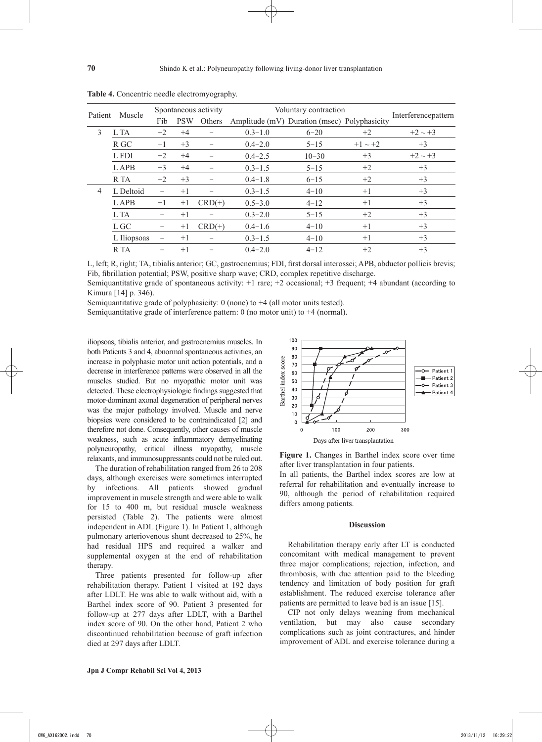|         | Muscle      | Spontaneous activity |            | Voluntary contraction |             |                                              |              |                     |
|---------|-------------|----------------------|------------|-----------------------|-------------|----------------------------------------------|--------------|---------------------|
| Patient |             | Fib                  | <b>PSW</b> | Others                |             | Amplitude (mV) Duration (msec) Polyphasicity |              | Interferencepattern |
| 3       | L TA        | $+2$                 | $+4$       |                       | $0.3 - 1.0$ | $6 - 20$                                     | $+2$         | $+2 \sim +3$        |
|         | R GC        | $+1$                 | $+3$       |                       | $0.4 - 2.0$ | $5 - 15$                                     | $+1 \sim +2$ | $+3$                |
|         | L FDI       | $+2$                 | $+4$       |                       | $0.4 - 2.5$ | $10 - 30$                                    | $+3$         | $+2 \sim +3$        |
|         | <b>LAPB</b> | $+3$                 | $+4$       |                       | $0.3 - 1.5$ | $5 - 15$                                     | $+2$         | $+3$                |
|         | R TA        | $+2$                 | $+3$       |                       | $0.4 - 1.8$ | $6 - 15$                                     | $+2$         | $+3$                |
| 4       | L Deltoid   |                      | $+1$       |                       | $0.3 - 1.5$ | $4 - 10$                                     | $+1$         | $+3$                |
|         | <b>LAPB</b> | $+1$                 | $+1$       | $CRD(+)$              | $0.5 - 3.0$ | $4 - 12$                                     | $+1$         | $+3$                |
|         | L TA        | —                    | $+1$       |                       | $0.3 - 2.0$ | $5 - 15$                                     | $+2$         | $+3$                |
|         | L GC        |                      | $+1$       | $CRD(+)$              | $0.4 - 1.6$ | $4 - 10$                                     | $+1$         | $+3$                |
|         | L Iliopsoas |                      | $+1$       |                       | $0.3 - 1.5$ | $4 - 10$                                     | $+1$         | $+3$                |
|         | R TA        |                      | $+1$       |                       | $0.4 - 2.0$ | $4 - 12$                                     | $+2$         | $+3$                |

**Table 4.** Concentric needle electromyography.

L, left; R, right; TA, tibialis anterior; GC, gastrocnemius; FDI, first dorsal interossei; APB, abductor pollicis brevis; Fib, fibrillation potential; PSW, positive sharp wave; CRD, complex repetitive discharge.

Semiquantitative grade of spontaneous activity: +1 rare; +2 occasional; +3 frequent; +4 abundant (according to Kimura [14] p. 346).

> $100$  $90$

Semiquantitative grade of polyphasicity:  $0$  (none) to  $+4$  (all motor units tested).

Semiquantitative grade of interference pattern: 0 (no motor unit) to  $+4$  (normal).

iliopsoas, tibialis anterior, and gastrocnemius muscles. In both Patients 3 and 4, abnormal spontaneous activities, an increase in polyphasic motor unit action potentials, and a decrease in interference patterns were observed in all the muscles studied. But no myopathic motor unit was detected. These electrophysiologic findings suggested that motor-dominant axonal degeneration of peripheral nerves was the major pathology involved. Muscle and nerve biopsies were considered to be contraindicated [2] and therefore not done. Consequently, other causes of muscle weakness, such as acute inflammatory demyelinating polyneuropathy, critical illness myopathy, muscle relaxants, and immunosuppressants could not be ruled out.

The duration of rehabilitation ranged from 26 to 208 days, although exercises were sometimes interrupted by infections. All patients showed gradual improvement in muscle strength and were able to walk for 15 to 400 m, but residual muscle weakness persisted (Table 2). The patients were almost independent in ADL (Figure 1). In Patient 1, although pulmonary arteriovenous shunt decreased to 25%, he had residual HPS and required a walker and supplemental oxygen at the end of rehabilitation therapy.

Three patients presented for follow-up after rehabilitation therapy. Patient 1 visited at 192 days after LDLT. He was able to walk without aid, with a Barthel index score of 90. Patient 3 presented for follow-up at 277 days after LDLT, with a Barthel index score of 90. On the other hand, Patient 2 who discontinued rehabilitation because of graft infection died at 297 days after LDLT.



after liver transplantation in four patients.

In all patients, the Barthel index scores are low at referral for rehabilitation and eventually increase to 90, although the period of rehabilitation required differs among patients.

#### **Discussion**

Rehabilitation therapy early after LT is conducted concomitant with medical management to prevent three major complications; rejection, infection, and thrombosis, with due attention paid to the bleeding tendency and limitation of body position for graft establishment. The reduced exercise tolerance after patients are permitted to leave bed is an issue [15].

CIP not only delays weaning from mechanical ventilation, but may also cause secondary complications such as joint contractures, and hinder improvement of ADL and exercise tolerance during a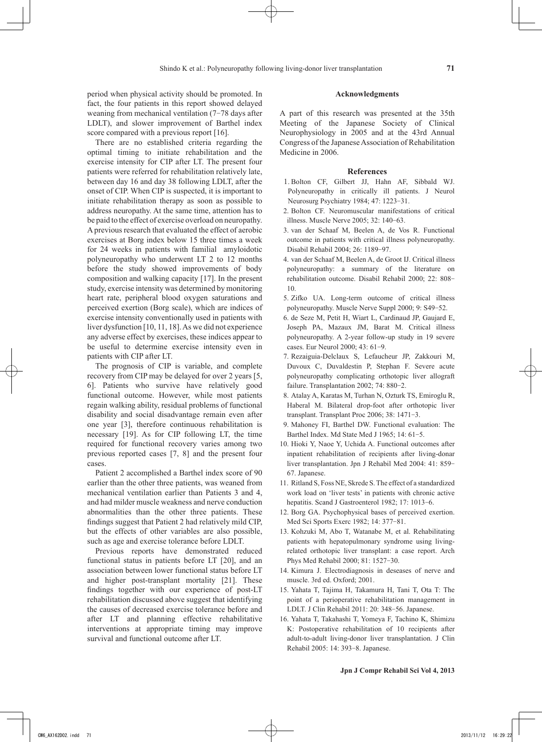period when physical activity should be promoted. In fact, the four patients in this report showed delayed weaning from mechanical ventilation (7-78 days after LDLT), and slower improvement of Barthel index score compared with a previous report [16].

There are no established criteria regarding the optimal timing to initiate rehabilitation and the exercise intensity for CIP after LT. The present four patients were referred for rehabilitation relatively late, between day 16 and day 38 following LDLT, after the onset of CIP. When CIP is suspected, it is important to initiate rehabilitation therapy as soon as possible to address neuropathy. At the same time, attention has to be paid to the effect of exercise overload on neuropathy. A previous research that evaluated the effect of aerobic exercises at Borg index below 15 three times a week for 24 weeks in patients with familial amyloidotic polyneuropathy who underwent LT 2 to 12 months before the study showed improvements of body composition and walking capacity [17]. In the present study, exercise intensity was determined by monitoring heart rate, peripheral blood oxygen saturations and perceived exertion (Borg scale), which are indices of exercise intensity conventionally used in patients with liver dysfunction [10, 11, 18]. As we did not experience any adverse effect by exercises, these indices appear to be useful to determine exercise intensity even in patients with CIP after LT.

The prognosis of CIP is variable, and complete recovery from CIP may be delayed for over 2 years [5, 6]. Patients who survive have relatively good functional outcome. However, while most patients regain walking ability, residual problems of functional disability and social disadvantage remain even after one year [3], therefore continuous rehabilitation is necessary [19]. As for CIP following LT, the time required for functional recovery varies among two previous reported cases [7, 8] and the present four cases.

Patient 2 accomplished a Barthel index score of 90 earlier than the other three patients, was weaned from mechanical ventilation earlier than Patients 3 and 4, and had milder muscle weakness and nerve conduction abnormalities than the other three patients. These findings suggest that Patient 2 had relatively mild CIP, but the effects of other variables are also possible, such as age and exercise tolerance before LDLT.

Previous reports have demonstrated reduced functional status in patients before LT [20], and an association between lower functional status before LT and higher post-transplant mortality [21]. These findings together with our experience of post-LT rehabilitation discussed above suggest that identifying the causes of decreased exercise tolerance before and after LT and planning effective rehabilitative interventions at appropriate timing may improve survival and functional outcome after LT.

#### **Acknowledgments**

A part of this research was presented at the 35th Meeting of the Japanese Society of Clinical Neurophysiology in 2005 and at the 43rd Annual Congress of the Japanese Association of Rehabilitation Medicine in 2006.

#### **References**

- 1. Bolton CF, Gilbert JJ, Hahn AF, Sibbald WJ. Polyneuropathy in critically ill patients. J Neurol Neurosurg Psychiatry 1984; 47: 1223-31.
- 2. Bolton CF. Neuromuscular manifestations of critical illness. Muscle Nerve 2005; 32: 140-63.
- 3. van der Schaaf M, Beelen A, de Vos R. Functional outcome in patients with critical illness polyneuropathy. Disabil Rehabil 2004; 26: 1189-97.
- 4. van der Schaaf M, Beelen A, de Groot IJ. Critical illness polyneuropathy: a summary of the literature on rehabilitation outcome. Disabil Rehabil 2000; 22: 808- 10.
- 5. Zifko UA. Long-term outcome of critical illness polyneuropathy. Muscle Nerve Suppl 2000; 9: S49-52.
- 6. de Seze M, Petit H, Wiart L, Cardinaud JP, Gaujard E, Joseph PA, Mazaux JM, Barat M. Critical illness polyneuropathy. A 2-year follow-up study in 19 severe cases. Eur Neurol 2000; 43: 61-9.
- 7. Rezaiguia-Delclaux S, Lefaucheur JP, Zakkouri M, Duvoux C, Duvaldestin P, Stephan F. Severe acute polyneuropathy complicating orthotopic liver allograft failure. Transplantation 2002; 74: 880-2.
- 8. Atalay A, Karatas M, Turhan N, Ozturk TS, Emiroglu R, Haberal M. Bilateral drop-foot after orthotopic liver transplant. Transplant Proc 2006; 38: 1471-3.
- 9. Mahoney FI, Barthel DW. Functional evaluation: The Barthel Index. Md State Med J 1965; 14: 61-5.
- 10. Hioki Y, Naoe Y, Uchida A. Functional outcomes after inpatient rehabilitation of recipients after living-donar liver transplantation. Jpn J Rehabil Med 2004: 41: 859- 67. Japanese.
- 11. Ritland S, Foss NE, Skrede S. The effect of a standardized work load on 'liver tests' in patients with chronic active hepatitis. Scand J Gastroenterol 1982; 17: 1013-6.
- 12. Borg GA. Psychophysical bases of perceived exertion. Med Sci Sports Exerc 1982; 14: 377-81.
- 13. Kohzuki M, Abo T, Watanabe M, et al. Rehabilitating patients with hepatopulmonary syndrome using livingrelated orthotopic liver transplant: a case report. Arch Phys Med Rehabil 2000; 81: 1527-30.
- 14. Kimura J. Electrodiagnosis in deseases of nerve and muscle. 3rd ed. Oxford; 2001.
- 15. Yahata T, Tajima H, Takamura H, Tani T, Ota T: The point of a perioperative rehabilitation management in LDLT. J Clin Rehabil 2011: 20: 348-56. Japanese.
- 16. Yahata T, Takahashi T, Yomeya F, Tachino K, Shimizu K: Postoperative rehabilitation of 10 recipients after adult-to-adult living-donor liver transplantation. J Clin Rehabil 2005: 14: 393-8. Japanese.